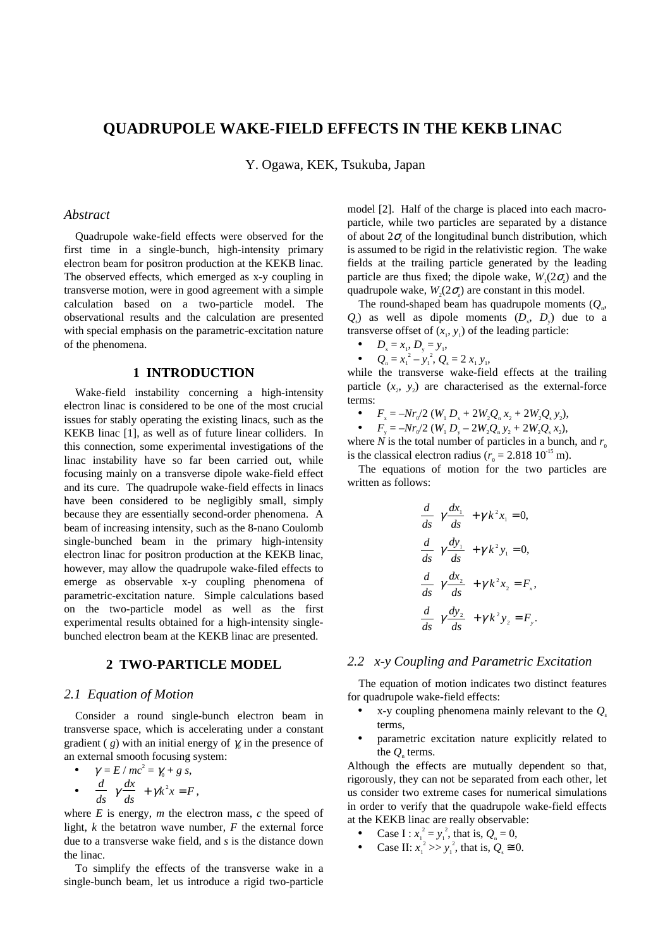# **QUADRUPOLE WAKE-FIELD EFFECTS IN THE KEKB LINAC**

Y. Ogawa, KEK, Tsukuba, Japan

#### *Abstract*

Quadrupole wake-field effects were observed for the first time in a single-bunch, high-intensity primary electron beam for positron production at the KEKB linac. The observed effects, which emerged as x-y coupling in transverse motion, were in good agreement with a simple calculation based on a two-particle model. The observational results and the calculation are presented with special emphasis on the parametric-excitation nature of the phenomena.

## **1 INTRODUCTION**

Wake-field instability concerning a high-intensity electron linac is considered to be one of the most crucial issues for stably operating the existing linacs, such as the KEKB linac [1], as well as of future linear colliders. In this connection, some experimental investigations of the linac instability have so far been carried out, while focusing mainly on a transverse dipole wake-field effect and its cure. The quadrupole wake-field effects in linacs have been considered to be negligibly small, simply because they are essentially second-order phenomena. A beam of increasing intensity, such as the 8-nano Coulomb single-bunched beam in the primary high-intensity electron linac for positron production at the KEKB linac, however, may allow the quadrupole wake-filed effects to emerge as observable x-y coupling phenomena of parametric-excitation nature. Simple calculations based on the two-particle model as well as the first experimental results obtained for a high-intensity singlebunched electron beam at the KEKB linac are presented.

### **2 TWO-PARTICLE MODEL**

#### *2.1 Equation of Motion*

Consider a round single-bunch electron beam in transverse space, which is accelerating under a constant gradient (*g*) with an initial energy of  $\gamma$  in the presence of an external smooth focusing system:

•  $\gamma = E / mc^2 = \gamma_0 + g s,$  $\bullet$   $\frac{d}{d}$  $\overline{ds}$ <sup>γ</sup> *dx ds*  $\left(\gamma \frac{dx}{ds}\right) + \gamma k^2 x = F$ ,

where  $E$  is energy,  $m$  the electron mass,  $c$  the speed of light, *k* the betatron wave number, *F* the external force due to a transverse wake field, and *s* is the distance down the linac.

To simplify the effects of the transverse wake in a single-bunch beam, let us introduce a rigid two-particle

model [2]. Half of the charge is placed into each macroparticle, while two particles are separated by a distance of about  $2\sigma_z$  of the longitudinal bunch distribution, which is assumed to be rigid in the relativistic region. The wake fields at the trailing particle generated by the leading particle are thus fixed; the dipole wake,  $W_1(2\sigma)$  and the quadrupole wake,  $W_2(2\sigma)$  are constant in this model.

The round-shaped beam has quadrupole moments  $(Q_n, \mathcal{L})$  $Q_s$ ) as well as dipole moments  $(D_s, D_y)$  due to a transverse offset of  $(x_1, y_1)$  of the leading particle:

$$
\bullet \qquad D_{\rm x}=x_{\rm 1},\, D_{\rm y}=y_{\rm 1},
$$

• 
$$
Q_{n} = x_{1}^{2} - y_{1}^{2}, Q_{s} = 2 x_{1} y_{1},
$$

while the transverse wake-field effects at the trailing particle  $(x_2, y_2)$  are characterised as the external-force terms:

•  $F_x = -Nr_0/2$  ( $W_1 D_x + 2W_2 Q_n x_2 + 2W_2 Q_s y_2$ ),

•  $F_y = -Nr_0/2$  ( $W_1 D_y - 2W_2 Q_n y_2 + 2W_2 Q_s x_2$ ),

where *N* is the total number of particles in a bunch, and  $r_0$ is the classical electron radius ( $r_0 = 2.818 10^{-15}$  m).

The equations of motion for the two particles are written as follows:

$$
\frac{d}{ds} \left( \gamma \frac{dx_1}{ds} \right) + \gamma k^2 x_1 = 0,
$$
\n
$$
\frac{d}{ds} \left( \gamma \frac{dy_1}{ds} \right) + \gamma k^2 y_1 = 0,
$$
\n
$$
\frac{d}{ds} \left( \gamma \frac{dx_2}{ds} \right) + \gamma k^2 x_2 = F_x,
$$
\n
$$
\frac{d}{ds} \left( \gamma \frac{dy_2}{ds} \right) + \gamma k^2 y_2 = F_y.
$$

## *2.2 x-y Coupling and Parametric Excitation*

The equation of motion indicates two distinct features for quadrupole wake-field effects:

- x-y coupling phenomena mainly relevant to the *Q*<sup>s</sup> terms,
- parametric excitation nature explicitly related to the  $Q$ <sub>n</sub> terms.

Although the effects are mutually dependent so that, rigorously, they can not be separated from each other, let us consider two extreme cases for numerical simulations in order to verify that the quadrupole wake-field effects at the KEKB linac are really observable:

- Case I :  $x_1^2 = y_1^2$ , that is,  $Q_n = 0$ ,
- Case II:  $x_1^2 >> y_1^2$ , that is,  $Q_s \approx 0$ .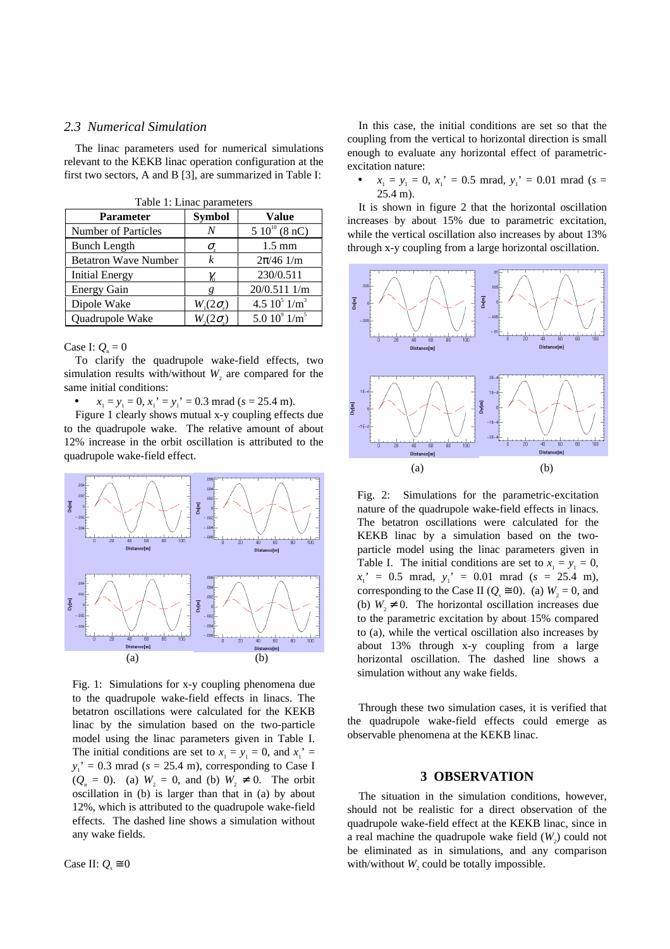#### *2.3 Numerical Simulation*

The linac parameters used for numerical simulations relevant to the KEKB linac operation configuration at the first two sectors, A and B [3], are summarized in Table I:

| <b>Parameter</b>            | <b>Symbol</b>    | <b>Value</b>                |
|-----------------------------|------------------|-----------------------------|
| <b>Number of Particles</b>  | N                | $510^{10}$ (8 nC)           |
| <b>Bunch Length</b>         | σ,               | $1.5 \text{ mm}$            |
| <b>Betatron Wave Number</b> | k                | $2\pi/46$ 1/m               |
| <b>Initial Energy</b>       | $\gamma_{0}$     | 230/0.511                   |
| <b>Energy Gain</b>          |                  | 20/0.511 1/m                |
| Dipole Wake                 | $W_{1}(2\sigma)$ | 4.5 $10^5$ $1/m^3$          |
| Quadrupole Wake             | $W_2(2\sigma)$   | 5.0 $10^9$ 1/m <sup>5</sup> |

| Table 1: Linac parameters |  |
|---------------------------|--|
|---------------------------|--|

Case I:  $Q_n = 0$ 

To clarify the quadrupole wake-field effects, two simulation results with/without  $W_2$  are compared for the same initial conditions:

 $x_1 = y_1 = 0$ ,  $x_1' = y_1' = 0.3$  mrad ( $s = 25.4$  m).

Figure 1 clearly shows mutual x-y coupling effects due to the quadrupole wake. The relative amount of about 12% increase in the orbit oscillation is attributed to the quadrupole wake-field effect.



Fig. 1: Simulations for x-y coupling phenomena due to the quadrupole wake-field effects in linacs. The betatron oscillations were calculated for the KEKB linac by the simulation based on the two-particle model using the linac parameters given in Table I. The initial conditions are set to  $x_1 = y_1 = 0$ , and  $x_1' =$  $y_1' = 0.3$  mrad ( $s = 25.4$  m), corresponding to Case I  $(Q_n = 0)$ . (a)  $W_2 = 0$ , and (b)  $W_2 \neq 0$ . The orbit oscillation in (b) is larger than that in (a) by about 12%, which is attributed to the quadrupole wake-field effects. The dashed line shows a simulation without any wake fields.

Case II:  $Q_s \approx 0$ 

In this case, the initial conditions are set so that the coupling from the vertical to horizontal direction is small enough to evaluate any horizontal effect of parametricexcitation nature:

•  $x_1 = y_1 = 0$ ,  $x_1' = 0.5$  mrad,  $y_1' = 0.01$  mrad ( $s =$ 25.4 m).

It is shown in figure 2 that the horizontal oscillation increases by about 15% due to parametric excitation, while the vertical oscillation also increases by about 13% through x-y coupling from a large horizontal oscillation.



Fig. 2: Simulations for the parametric-excitation nature of the quadrupole wake-field effects in linacs. The betatron oscillations were calculated for the KEKB linac by a simulation based on the twoparticle model using the linac parameters given in Table I. The initial conditions are set to  $x_1 = y_1 = 0$ ,  $x_1' = 0.5$  mrad,  $y_1' = 0.01$  mrad ( $s = 25.4$  m), corresponding to the Case II ( $Q_s \approx 0$ ). (a)  $W_2 = 0$ , and (b)  $W_2 \neq 0$ . The horizontal oscillation increases due to the parametric excitation by about 15% compared to (a), while the vertical oscillation also increases by about 13% through x-y coupling from a large horizontal oscillation. The dashed line shows a simulation without any wake fields.

Through these two simulation cases, it is verified that the quadrupole wake-field effects could emerge as observable phenomena at the KEKB linac.

### **3 OBSERVATION**

The situation in the simulation conditions, however, should not be realistic for a direct observation of the quadrupole wake-field effect at the KEKB linac, since in a real machine the quadrupole wake field  $(W_2)$  could not be eliminated as in simulations, and any comparison with/without  $W_2$  could be totally impossible.